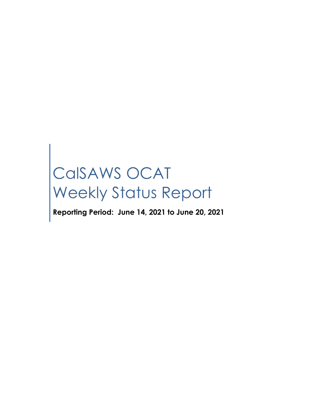# CalSAWS OCAT Weekly Status Report

**Reporting Period: June 14, 2021 to June 20, 2021**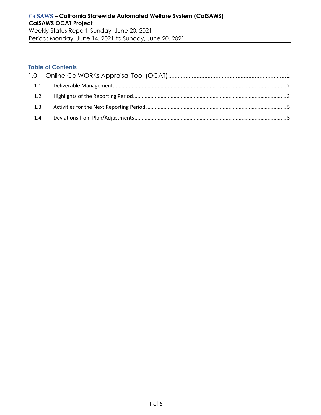#### **Table of Contents**

| 1.1 |  |
|-----|--|
| 1.2 |  |
| 1.3 |  |
| 1.4 |  |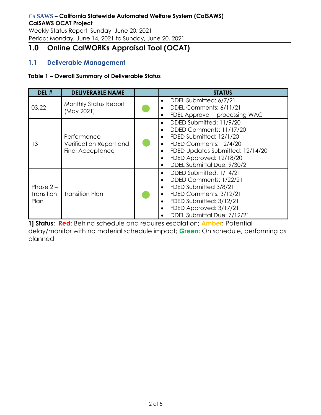# Cal**SAWS – California Statewide Automated Welfare System (CalSAWS) CalSAWS OCAT Project**

Weekly Status Report, Sunday, June 20, 2021 Period: Monday, June 14, 2021 to Sunday, June 20, 2021

# <span id="page-2-0"></span>**1.0 Online CalWORKs Appraisal Tool (OCAT)**

# <span id="page-2-1"></span>**1.1 Deliverable Management**

#### **Table 1 – Overall Summary of Deliverable Status**

| DEL #                             | <b>DELIVERABLE NAME</b>                                           | <b>STATUS</b>                                                                                                                                                                                                                                                                                    |
|-----------------------------------|-------------------------------------------------------------------|--------------------------------------------------------------------------------------------------------------------------------------------------------------------------------------------------------------------------------------------------------------------------------------------------|
| 03.22                             | <b>Monthly Status Report</b><br>(May 2021)                        | DDEL Submitted: 6/7/21<br>$\bullet$<br>DDEL Comments: 6/11/21<br>$\bullet$<br>FDEL Approval – processing WAC<br>$\bullet$                                                                                                                                                                        |
| 13                                | Performance<br>Verification Report and<br><b>Final Acceptance</b> | DDED Submitted: 11/9/20<br>$\bullet$<br>DDED Comments: 11/17/20<br>$\bullet$<br>FDED Submitted: 12/1/20<br>$\bullet$<br>FDED Comments: 12/4/20<br>$\bullet$<br>FDED Updates Submitted: 12/14/20<br>$\bullet$<br>FDED Approved: 12/18/20<br>$\bullet$<br>DDEL Submittal Due: 9/30/21<br>$\bullet$ |
| Phase $2 -$<br>Transition<br>Plan | <b>Transition Plan</b>                                            | DDED Submitted: 1/14/21<br>$\bullet$<br>DDED Comments: 1/22/21<br>$\bullet$<br>FDED Submitted 3/8/21<br>$\bullet$<br>FDED Comments: 3/12/21<br>$\bullet$<br>FDED Submitted: 3/12/21<br>$\bullet$<br>FDED Approved: 3/17/21<br>$\bullet$<br>DDEL Submittal Due: 7/12/21                           |

**1] Status: Red:** Behind schedule and requires escalation; **Amber:** Potential delay/monitor with no material schedule impact; **Green:** On schedule, performing as planned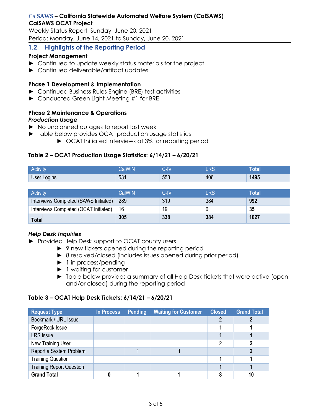#### Cal**SAWS – California Statewide Automated Welfare System (CalSAWS) CalSAWS OCAT Project**

Weekly Status Report, Sunday, June 20, 2021 Period: Monday, June 14, 2021 to Sunday, June 20, 2021

# <span id="page-3-0"></span>**1.2 Highlights of the Reporting Period**

#### **Project Management**

- ► Continued to update weekly status materials for the project
- ► Continued deliverable/artifact updates

#### **Phase 1 Development & Implementation**

- ► Continued Business Rules Engine (BRE) test activities
- ► Conducted Green Light Meeting #1 for BRE

#### **Phase 2 Maintenance & Operations** *Production Usage*

- ► No unplanned outages to report last week
- ► Table below provides OCAT production usage statistics
	- ► OCAT Initiated Interviews at 3% for reporting period

#### **Table 2 – OCAT Production Usage Statistics: 6/14/21 – 6/20/21**

| <b>ALC: YES</b><br><b>Activity</b> |                                           | $\bf{R}$      | $\Gamma$<br>m | юкі  |
|------------------------------------|-------------------------------------------|---------------|---------------|------|
| User Logins                        | ro,<br>$\overline{\phantom{a}}$<br>$\cup$ | $-$ -0<br>ჂჂŏ | 406           | 1495 |

| <b>Activity</b>                       | CalWIN | C-IV | $\_{\sf RS}$ | Total |
|---------------------------------------|--------|------|--------------|-------|
| Interviews Completed (SAWS Initiated) | 289    | 319  | 384          | 992   |
| Interviews Completed (OCAT Initiated) | -16    | 19   |              | 35    |
| <b>Total</b>                          | 305    | 338  | 384          | 1027  |

#### *Help Desk Inquiries*

- ► Provided Help Desk support to OCAT county users
	- ► 9 new tickets opened during the reporting period
	- ► 8 resolved/closed (includes issues opened during prior period)
	- ► 1 in process/pending
	- ► 1 waiting for customer
	- ► Table below provides a summary of all Help Desk tickets that were active (open and/or closed) during the reporting period

#### **Table 3 – OCAT Help Desk Tickets: 6/14/21 – 6/20/21**

| <b>Request Type</b>             | In Process | <b>Pending</b> | <b>Waiting for Customer</b> | <b>Closed</b> | <b>Grand Total</b> |
|---------------------------------|------------|----------------|-----------------------------|---------------|--------------------|
| Bookmark / URL Issue            |            |                |                             |               |                    |
| ForgeRock Issue                 |            |                |                             |               |                    |
| <b>LRS</b> Issue                |            |                |                             |               |                    |
| New Training User               |            |                |                             | ∩             |                    |
| Report a System Problem         |            |                |                             |               |                    |
| <b>Training Question</b>        |            |                |                             |               |                    |
| <b>Training Report Question</b> |            |                |                             |               |                    |
| <b>Grand Total</b>              |            |                |                             |               |                    |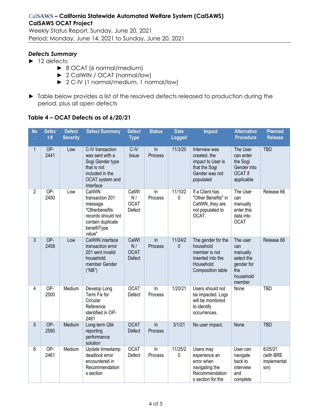Weekly Status Report, Sunday, June 20, 2021 Period: Monday, June 14, 2021 to Sunday, June 20, 2021

# *Defects Summary*

- ► 12 defects:
	- ► 8 OCAT (6 normal/medium)
	- ► 2 CalWIN / OCAT (normal/low)
	- ► 2 C-IV (1 normal/medium, 1 normal/low)
- ► Table below provides a list of the resolved defects released to production during the period, plus all open defects

#### **Table 4 – OCAT Defects as of 6/20/21**

| <b>No</b>      | <b>Defec</b><br>t# | <b>Defect</b><br><b>Severity</b> | <b>Defect Summary</b>                                                                                                      | <b>Defect</b><br><b>Type</b>         | <b>Status</b>        | <b>Date</b><br><b>Logged</b> | <b>Impact</b>                                                                                           | <b>Alternative</b><br><b>Procedure</b>                                                | <b>Planned</b><br><b>Release</b>            |
|----------------|--------------------|----------------------------------|----------------------------------------------------------------------------------------------------------------------------|--------------------------------------|----------------------|------------------------------|---------------------------------------------------------------------------------------------------------|---------------------------------------------------------------------------------------|---------------------------------------------|
| 1              | OP-<br>2441        | Low                              | C-IV transaction<br>was sent with a<br>Sogi Gender type<br>that is not<br>included in the<br>OCAT system and<br>Interface  | $C$ -IV<br>Issue                     | $\ln$<br>Process     | 11/3/20                      | Interview was<br>created, the<br>impact to User is<br>that the Sogi<br>Gender was not<br>populated      | The User<br>can enter<br>the Sogi<br>Gender into<br>OCAT if<br>applicable             | <b>TBD</b>                                  |
| $\overline{2}$ | OP-<br>2450        | Low                              | CalWIN<br>transaction 201<br>message<br>"Otherbenefits<br>records should not<br>contain duplicate<br>benefitType<br>value" | CalWI<br>N/<br><b>OCAT</b><br>Defect | In<br>Process        | 11/10/2<br>0                 | If a Client has<br>"Other Benefits" in<br>CalWIN, they are<br>not populated to<br>OCAT.                 | The User<br>can<br>manually<br>enter this<br>data into<br><b>OCAT</b>                 | Release 66                                  |
| $\mathfrak{Z}$ | OP-<br>2458        | Low                              | CalWIN interface<br>transaction error<br>201 sent invalid<br>household<br>member Gender<br>("NB")                          | CalWI<br>N/<br><b>OCAT</b><br>Defect | In<br><b>Process</b> | 11/24/2<br>$\mathbf{0}$      | The gender for the<br>household<br>member is not<br>inserted into the<br>Household<br>Composition table | The user<br>can<br>manually<br>select the<br>gender for<br>the<br>household<br>member | Release 66                                  |
| 4              | OP-<br>2500        | Medium                           | Develop Long<br>Term Fix for<br>Circular<br>Reference<br>identified in OP-<br>2461                                         | <b>OCAT</b><br>Defect                | In<br>Process        | 1/20/21                      | Users should not<br>be impacted. Logs<br>will be monitored<br>to identify<br>occurrences.               | None                                                                                  | <b>TBD</b>                                  |
| 5              | OP-<br>2590        | Medium                           | Long-term Qlik<br>reporting<br>performance<br>solution                                                                     | <b>OCAT</b><br><b>Defect</b>         | $\ln$<br>Process     | 3/1/21                       | No user impact.                                                                                         | None                                                                                  | <b>TBD</b>                                  |
| 6              | OP-<br>2461        | Medium                           | Update timestamp<br>deadlock error<br>encountered in<br>Recommendation<br>s section                                        | <b>OCAT</b><br>Defect                | In<br>Process        | 11/25/2<br>0                 | Users may<br>experience an<br>error when<br>navigating the<br>Recommendation<br>s section for the       | User can<br>navigate<br>back to<br>interview<br>and<br>complete                       | 6/25/21<br>(with BRE<br>implementat<br>ion) |